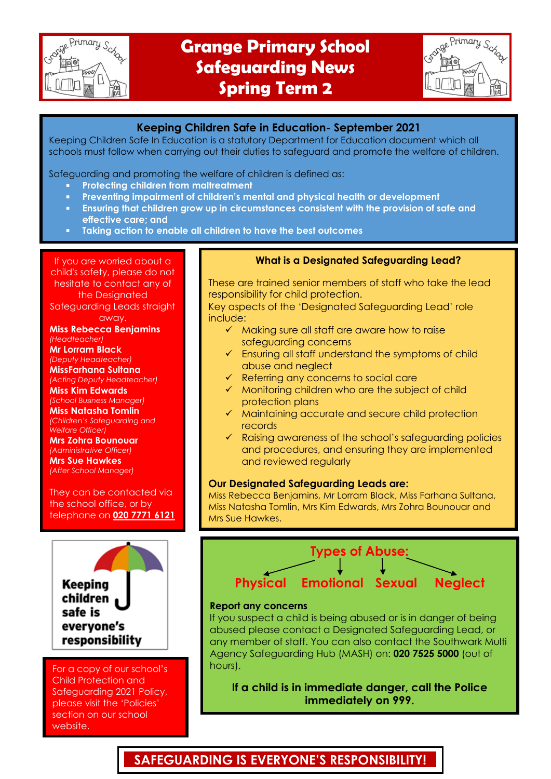

# **Grange Primary School Safeguarding News Spring Term 2**

| ge Primary Scha |
|-----------------|
|                 |
|                 |

### **Keeping Children Safe in Education- September 2021**

Keeping Children Safe In Education is a statutory Department for Education document which all schools must follow when carrying out their duties to safeguard and promote the welfare of children.

Safeguarding and promoting the welfare of children is defined as:

- **Protecting children from maltreatment**
- **Preventing impairment of children's mental and physical health or development**
- **Ensuring that children grow up in circumstances consistent with the provision of safe and effective care; and**
- **Taking action to enable all children to have the best outcomes**

If you are worried about a child's safety, please do not hesitate to contact any of the Designated

Safeguarding Leads straight away.

**Miss Rebecca Benjamins** *(Headteacher)*

**Mr Lorram Black** *(Deputy Headteacher)*

**MissFarhana Sultana** *(Acting Deputy Headteacher)* **Miss Kim Edwards**

*(School Business Manager)* **Miss Natasha Tomlin**

*(Children's Safeguarding and Welfare Officer)*

**Mrs Zohra Bounouar** *(Administrative Officer)* **Mrs Sue Hawkes** *(After School Manager)*

They can be contacted via the school office, or by telephone on **020 7771 6121**



For a copy of our school's Child Protection and Safeguarding 2021 Policy, please visit the 'Policies' section on our school website.

### **What is a Designated Safeguarding Lead?**

These are trained senior members of staff who take the lead responsibility for child protection.

Key aspects of the 'Designated Safeguarding Lead' role include:

- $\checkmark$  Making sure all staff are aware how to raise safeguarding concerns
- $\checkmark$  Ensuring all staff understand the symptoms of child abuse and neglect
- $\checkmark$  Referring any concerns to social care
- $\checkmark$  Monitoring children who are the subject of child protection plans
- $\checkmark$  Maintaining accurate and secure child protection records
- $\checkmark$  Raising awareness of the school's safeguarding policies and procedures, and ensuring they are implemented and reviewed regularly

### **Our Designated Safeguarding Leads are:**

Miss Rebecca Benjamins, Mr Lorram Black, Miss Farhana Sultana, Miss Natasha Tomlin, Mrs Kim Edwards, Mrs Zohra Bounouar and Mrs Sue Hawkes.



#### **Report any concerns**

If you suspect a child is being abused or is in danger of being abused please contact a Designated Safeguarding Lead, or any member of staff. You can also contact the Southwark Multi Agency Safeguarding Hub (MASH) on: **020 7525 5000** (out of hours).

**If a child is in immediate danger, call the Police immediately on 999.**

## **SAFEGUARDING IS EVERYONE'S RESPONSIBILITY!**